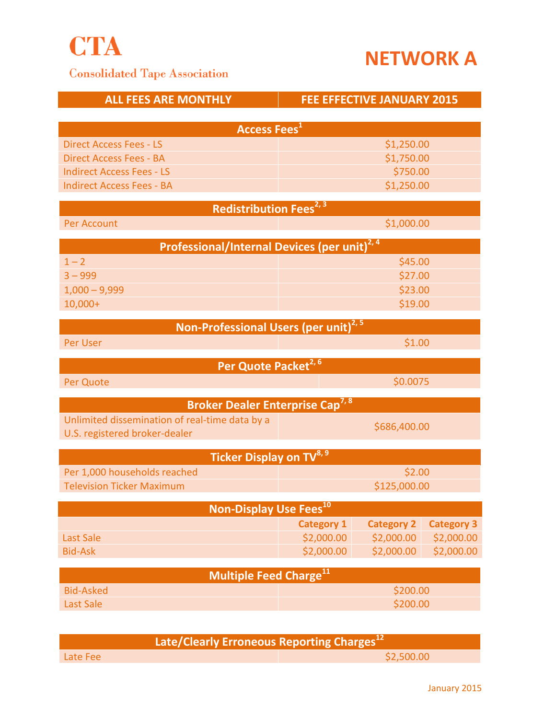

**Consolidated Tape Association** 



|                                                                    | <b>FEE EFFECTIVE JANUARY 2015</b>                                                                                                                                                                                                                                                   |                                                                                                                                                                                                                      |
|--------------------------------------------------------------------|-------------------------------------------------------------------------------------------------------------------------------------------------------------------------------------------------------------------------------------------------------------------------------------|----------------------------------------------------------------------------------------------------------------------------------------------------------------------------------------------------------------------|
|                                                                    |                                                                                                                                                                                                                                                                                     |                                                                                                                                                                                                                      |
|                                                                    |                                                                                                                                                                                                                                                                                     |                                                                                                                                                                                                                      |
|                                                                    |                                                                                                                                                                                                                                                                                     |                                                                                                                                                                                                                      |
| <b>Direct Access Fees - BA</b><br><b>Indirect Access Fees - LS</b> |                                                                                                                                                                                                                                                                                     |                                                                                                                                                                                                                      |
|                                                                    |                                                                                                                                                                                                                                                                                     |                                                                                                                                                                                                                      |
|                                                                    |                                                                                                                                                                                                                                                                                     |                                                                                                                                                                                                                      |
|                                                                    |                                                                                                                                                                                                                                                                                     |                                                                                                                                                                                                                      |
| \$1,000.00                                                         |                                                                                                                                                                                                                                                                                     |                                                                                                                                                                                                                      |
|                                                                    |                                                                                                                                                                                                                                                                                     |                                                                                                                                                                                                                      |
| \$45.00                                                            |                                                                                                                                                                                                                                                                                     |                                                                                                                                                                                                                      |
| \$27.00                                                            |                                                                                                                                                                                                                                                                                     |                                                                                                                                                                                                                      |
| \$23.00                                                            |                                                                                                                                                                                                                                                                                     |                                                                                                                                                                                                                      |
| \$19.00                                                            |                                                                                                                                                                                                                                                                                     |                                                                                                                                                                                                                      |
|                                                                    |                                                                                                                                                                                                                                                                                     |                                                                                                                                                                                                                      |
| \$1.00<br>Per User                                                 |                                                                                                                                                                                                                                                                                     |                                                                                                                                                                                                                      |
|                                                                    |                                                                                                                                                                                                                                                                                     |                                                                                                                                                                                                                      |
| \$0.0075                                                           |                                                                                                                                                                                                                                                                                     |                                                                                                                                                                                                                      |
|                                                                    |                                                                                                                                                                                                                                                                                     |                                                                                                                                                                                                                      |
|                                                                    |                                                                                                                                                                                                                                                                                     |                                                                                                                                                                                                                      |
|                                                                    |                                                                                                                                                                                                                                                                                     |                                                                                                                                                                                                                      |
|                                                                    |                                                                                                                                                                                                                                                                                     |                                                                                                                                                                                                                      |
| \$2.00                                                             |                                                                                                                                                                                                                                                                                     |                                                                                                                                                                                                                      |
| \$125,000.00                                                       |                                                                                                                                                                                                                                                                                     |                                                                                                                                                                                                                      |
|                                                                    |                                                                                                                                                                                                                                                                                     |                                                                                                                                                                                                                      |
| <b>Category 1</b>                                                  |                                                                                                                                                                                                                                                                                     | <b>Category 3</b>                                                                                                                                                                                                    |
| \$2,000.00                                                         | \$2,000.00                                                                                                                                                                                                                                                                          | \$2,000.00                                                                                                                                                                                                           |
| \$2,000.00                                                         | \$2,000.00                                                                                                                                                                                                                                                                          | \$2,000.00                                                                                                                                                                                                           |
|                                                                    |                                                                                                                                                                                                                                                                                     |                                                                                                                                                                                                                      |
|                                                                    |                                                                                                                                                                                                                                                                                     |                                                                                                                                                                                                                      |
| \$200.00                                                           |                                                                                                                                                                                                                                                                                     |                                                                                                                                                                                                                      |
|                                                                    | <b>Access Fees</b> <sup>1</sup><br>Redistribution Fees <sup>2, 3</sup><br>Per Quote Packet <sup>2, 6</sup><br><b>Broker Dealer Enterprise Cap<sup>7,8</sup></b><br>Ticker Display on TV <sup>8, 9</sup><br>Non-Display Use Fees <sup>10</sup><br>Multiple Feed Charge <sup>11</sup> | \$1,250.00<br>\$1,750.00<br>\$750.00<br>\$1,250.00<br>Professional/Internal Devices (per unit) <sup>2, 4</sup><br>Non-Professional Users (per unit) <sup>2, 5</sup><br>\$686,400.00<br><b>Category 2</b><br>\$200.00 |

| Late/Clearly Erroneous Reporting Charges <sup>12</sup> |  |            |  |
|--------------------------------------------------------|--|------------|--|
| Late Fee                                               |  | \$2,500.00 |  |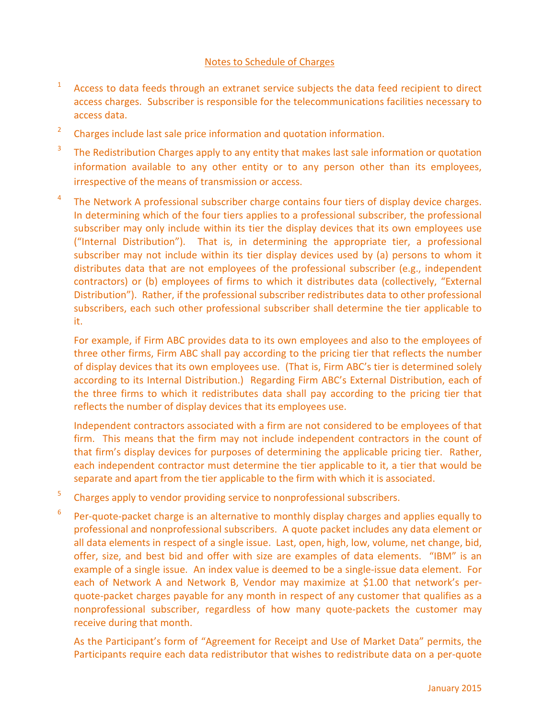## Notes to Schedule of Charges

- 1 Access to data feeds through an extranet service subjects the data feed recipient to direct access charges. Subscriber is responsible for the telecommunications facilities necessary to access data.
- 2 Charges include last sale price information and quotation information.
- 3 The Redistribution Charges apply to any entity that makes last sale information or quotation information available to any other entity or to any person other than its employees, irrespective of the means of transmission or access.
- 4 The Network A professional subscriber charge contains four tiers of display device charges. In determining which of the four tiers applies to a professional subscriber, the professional subscriber may only include within its tier the display devices that its own employees use ("Internal Distribution"). That is, in determining the appropriate tier, a professional subscriber may not include within its tier display devices used by (a) persons to whom it distributes data that are not employees of the professional subscriber (e.g., independent contractors) or (b) employees of firms to which it distributes data (collectively, "External Distribution"). Rather, if the professional subscriber redistributes data to other professional subscribers, each such other professional subscriber shall determine the tier applicable to it.

For example, if Firm ABC provides data to its own employees and also to the employees of three other firms, Firm ABC shall pay according to the pricing tier that reflects the number of display devices that its own employees use. (That is, Firm ABC's tier is determined solely according to its Internal Distribution.) Regarding Firm ABC's External Distribution, each of the three firms to which it redistributes data shall pay according to the pricing tier that reflects the number of display devices that its employees use.

Independent contractors associated with a firm are not considered to be employees of that firm. This means that the firm may not include independent contractors in the count of that firm's display devices for purposes of determining the applicable pricing tier. Rather, each independent contractor must determine the tier applicable to it, a tier that would be separate and apart from the tier applicable to the firm with which it is associated.

- 5 Charges apply to vendor providing service to nonprofessional subscribers.
- 6 Per-quote-packet charge is an alternative to monthly display charges and applies equally to professional and nonprofessional subscribers. A quote packet includes any data element or all data elements in respect of a single issue. Last, open, high, low, volume, net change, bid, offer, size, and best bid and offer with size are examples of data elements. "IBM" is an example of a single issue. An index value is deemed to be a single-issue data element. For each of Network A and Network B, Vendor may maximize at \$1.00 that network's perquote-packet charges payable for any month in respect of any customer that qualifies as a nonprofessional subscriber, regardless of how many quote-packets the customer may receive during that month.

As the Participant's form of "Agreement for Receipt and Use of Market Data" permits, the Participants require each data redistributor that wishes to redistribute data on a per-quote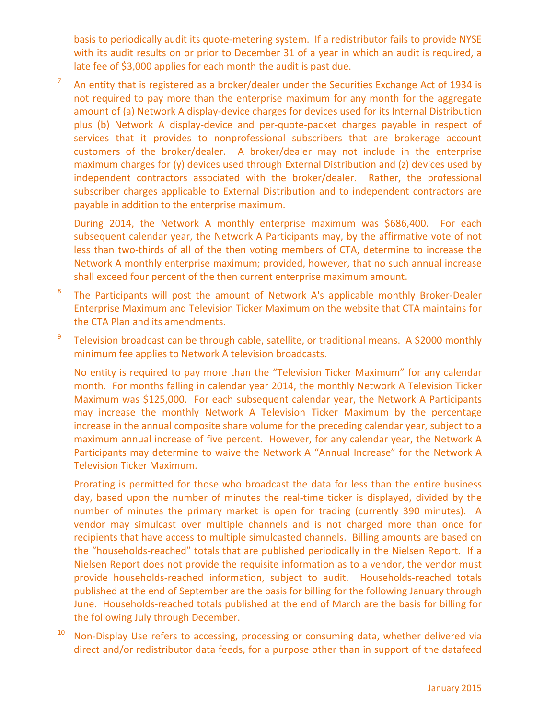basis to periodically audit its quote-metering system. If a redistributor fails to provide NYSE with its audit results on or prior to December 31 of a year in which an audit is required, a late fee of \$3,000 applies for each month the audit is past due.

7 An entity that is registered as a broker/dealer under the Securities Exchange Act of 1934 is not required to pay more than the enterprise maximum for any month for the aggregate amount of (a) Network A display-device charges for devices used for its Internal Distribution plus (b) Network A display-device and per-quote-packet charges payable in respect of services that it provides to nonprofessional subscribers that are brokerage account customers of the broker/dealer. A broker/dealer may not include in the enterprise maximum charges for (y) devices used through External Distribution and (z) devices used by independent contractors associated with the broker/dealer. Rather, the professional subscriber charges applicable to External Distribution and to independent contractors are payable in addition to the enterprise maximum.

During 2014, the Network A monthly enterprise maximum was \$686,400. For each subsequent calendar year, the Network A Participants may, by the affirmative vote of not less than two-thirds of all of the then voting members of CTA, determine to increase the Network A monthly enterprise maximum; provided, however, that no such annual increase shall exceed four percent of the then current enterprise maximum amount.

- 8 The Participants will post the amount of Network A's applicable monthly Broker-Dealer Enterprise Maximum and Television Ticker Maximum on the website that CTA maintains for the CTA Plan and its amendments.
- 9 Television broadcast can be through cable, satellite, or traditional means. A \$2000 monthly minimum fee applies to Network A television broadcasts.

No entity is required to pay more than the "Television Ticker Maximum" for any calendar month. For months falling in calendar year 2014, the monthly Network A Television Ticker Maximum was \$125,000. For each subsequent calendar year, the Network A Participants may increase the monthly Network A Television Ticker Maximum by the percentage increase in the annual composite share volume for the preceding calendar year, subject to a maximum annual increase of five percent. However, for any calendar year, the Network A Participants may determine to waive the Network A "Annual Increase" for the Network A Television Ticker Maximum.

Prorating is permitted for those who broadcast the data for less than the entire business day, based upon the number of minutes the real-time ticker is displayed, divided by the number of minutes the primary market is open for trading (currently 390 minutes). A vendor may simulcast over multiple channels and is not charged more than once for recipients that have access to multiple simulcasted channels. Billing amounts are based on the "households-reached" totals that are published periodically in the Nielsen Report. If a Nielsen Report does not provide the requisite information as to a vendor, the vendor must provide households-reached information, subject to audit. Households-reached totals published at the end of September are the basis for billing for the following January through June. Households-reached totals published at the end of March are the basis for billing for the following July through December.

Non-Display Use refers to accessing, processing or consuming data, whether delivered via direct and/or redistributor data feeds, for a purpose other than in support of the datafeed